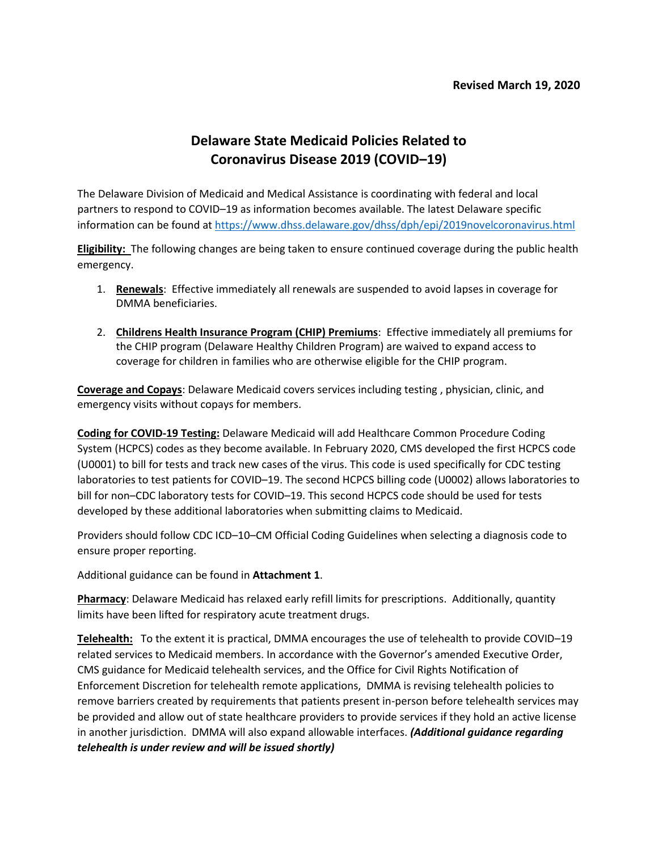## **Delaware State Medicaid Policies Related to Coronavirus Disease 2019 (COVID–19)**

The Delaware Division of Medicaid and Medical Assistance is coordinating with federal and local partners to respond to COVID–19 as information becomes available. The latest Delaware specific information can be found at<https://www.dhss.delaware.gov/dhss/dph/epi/2019novelcoronavirus.html>

**Eligibility:** The following changes are being taken to ensure continued coverage during the public health emergency.

- 1. **Renewals**: Effective immediately all renewals are suspended to avoid lapses in coverage for DMMA beneficiaries.
- 2. **Childrens Health Insurance Program (CHIP) Premiums**: Effective immediately all premiums for the CHIP program (Delaware Healthy Children Program) are waived to expand access to coverage for children in families who are otherwise eligible for the CHIP program.

**Coverage and Copays**: Delaware Medicaid covers services including testing , physician, clinic, and emergency visits without copays for members.

**Coding for COVID-19 Testing:** Delaware Medicaid will add Healthcare Common Procedure Coding System (HCPCS) codes as they become available. In February 2020, CMS developed the first HCPCS code (U0001) to bill for tests and track new cases of the virus. This code is used specifically for CDC testing laboratories to test patients for COVID–19. The second HCPCS billing code (U0002) allows laboratories to bill for non–CDC laboratory tests for COVID–19. This second HCPCS code should be used for tests developed by these additional laboratories when submitting claims to Medicaid.

Providers should follow CDC ICD–10–CM Official Coding Guidelines when selecting a diagnosis code to ensure proper reporting.

Additional guidance can be found in **Attachment 1**.

**Pharmacy**: Delaware Medicaid has relaxed early refill limits for prescriptions. Additionally, quantity limits have been lifted for respiratory acute treatment drugs.

**Telehealth:** To the extent it is practical, DMMA encourages the use of telehealth to provide COVID–19 related services to Medicaid members. In accordance with the Governor's amended Executive Order, CMS guidance for Medicaid telehealth services, and the Office for Civil Rights Notification of Enforcement Discretion for telehealth remote applications, DMMA is revising telehealth policies to remove barriers created by requirements that patients present in-person before telehealth services may be provided and allow out of state healthcare providers to provide services if they hold an active license in another jurisdiction. DMMA will also expand allowable interfaces. *(Additional guidance regarding telehealth is under review and will be issued shortly)*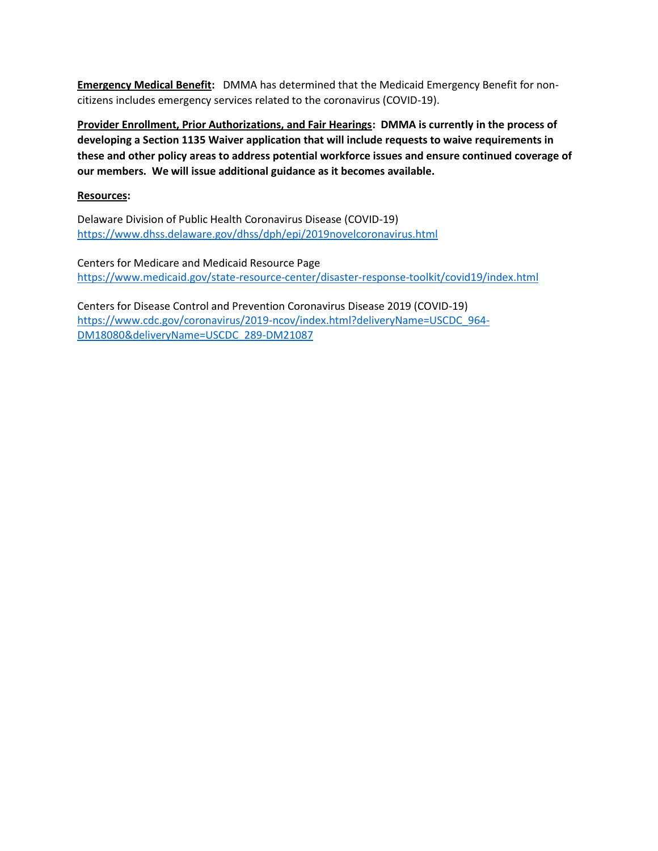**Emergency Medical Benefit:** DMMA has determined that the Medicaid Emergency Benefit for noncitizens includes emergency services related to the coronavirus (COVID-19).

**Provider Enrollment, Prior Authorizations, and Fair Hearings: DMMA is currently in the process of developing a Section 1135 Waiver application that will include requests to waive requirements in these and other policy areas to address potential workforce issues and ensure continued coverage of our members. We will issue additional guidance as it becomes available.**

## **Resources:**

Delaware Division of Public Health Coronavirus Disease (COVID-19) <https://www.dhss.delaware.gov/dhss/dph/epi/2019novelcoronavirus.html>

Centers for Medicare and Medicaid Resource Page <https://www.medicaid.gov/state-resource-center/disaster-response-toolkit/covid19/index.html>

Centers for Disease Control and Prevention Coronavirus Disease 2019 (COVID-19) [https://www.cdc.gov/coronavirus/2019-ncov/index.html?deliveryName=USCDC\\_964-](https://www.cdc.gov/coronavirus/2019-ncov/index.html?deliveryName=USCDC_964-DM18080&deliveryName=USCDC_289-DM21087) [DM18080&deliveryName=USCDC\\_289-DM21087](https://www.cdc.gov/coronavirus/2019-ncov/index.html?deliveryName=USCDC_964-DM18080&deliveryName=USCDC_289-DM21087)